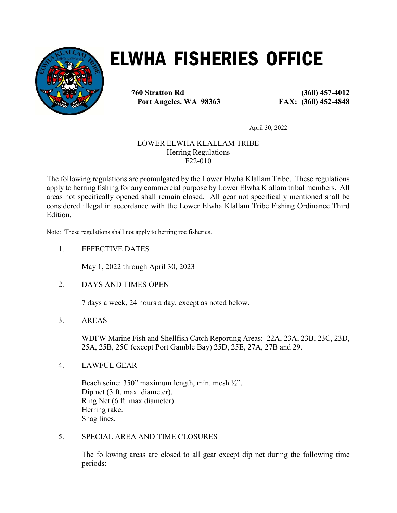

# ELWHA FISHERIES OFFICE

760 Stratton Rd (360) 457-4012 Port Angeles, WA 98363 FAX: (360) 452-4848

April 30, 2022

# LOWER ELWHA KLALLAM TRIBE Herring Regulations F22-010

The following regulations are promulgated by the Lower Elwha Klallam Tribe. These regulations apply to herring fishing for any commercial purpose by Lower Elwha Klallam tribal members. All areas not specifically opened shall remain closed. All gear not specifically mentioned shall be considered illegal in accordance with the Lower Elwha Klallam Tribe Fishing Ordinance Third Edition.

Note: These regulations shall not apply to herring roe fisheries.

1. EFFECTIVE DATES

May 1, 2022 through April 30, 2023

2. DAYS AND TIMES OPEN

7 days a week, 24 hours a day, except as noted below.

3. AREAS

WDFW Marine Fish and Shellfish Catch Reporting Areas: 22A, 23A, 23B, 23C, 23D, 25A, 25B, 25C (except Port Gamble Bay) 25D, 25E, 27A, 27B and 29.

4. LAWFUL GEAR

Beach seine: 350" maximum length, min. mesh ½". Dip net (3 ft. max. diameter). Ring Net (6 ft. max diameter). Herring rake. Snag lines.

5. SPECIAL AREA AND TIME CLOSURES

The following areas are closed to all gear except dip net during the following time periods: